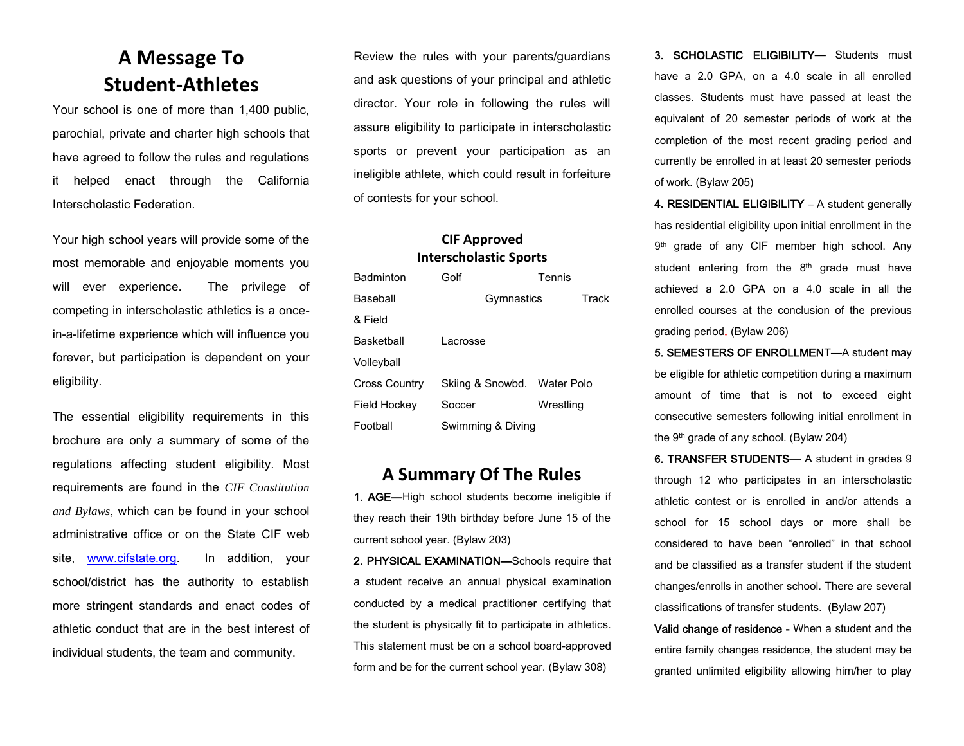### **A Message To Student-Athletes**

Your school is one of more than 1,400 public, parochial, private and charter high schools that have agreed to follow the rules and regulations it helped enact through the California Interscholastic Federation.

Your high school years will provide some of the most memorable and enjoyable moments you will ever experience. The privilege of competing in interscholastic athletics is a oncein-a-lifetime experience which will influence you forever, but participation is dependent on your eligibility.

The essential eligibility requirements in this brochure are only a summary of some of the regulations affecting student eligibility. Most requirements are found in the *CIF Constitution and Bylaws*, which can be found in your school administrative office or on the State CIF web site, [www.cifstate.org.](http://www.cifstate.org/) In addition, your school/district has the authority to establish more stringent standards and enact codes of athletic conduct that are in the best interest of individual students, the team and community.

Review the rules with your parents/guardians and ask questions of your principal and athletic director. Your role in following the rules will assure eligibility to participate in interscholastic sports or prevent your participation as an ineligible athlete, which could result in forfeiture of contests for your school.

#### **CIF Approved Interscholastic Sports**

| <b>Badminton</b>  | Golf                        | Tennis    |
|-------------------|-----------------------------|-----------|
| <b>Baseball</b>   | Gymnastics                  | Track     |
| & Field           |                             |           |
| <b>Basketball</b> | Lacrosse                    |           |
| Volleyball        |                             |           |
| Cross Country     | Skiing & Snowbd. Water Polo |           |
| Field Hockey      | Soccer                      | Wrestling |
| Football          | Swimming & Diving           |           |

#### **A Summary Of The Rules**

1. AGE—High school students become ineligible if they reach their 19th birthday before June 15 of the current school year. (Bylaw 203)

2. PHYSICAL EXAMINATION—Schools require that a student receive an annual physical examination conducted by a medical practitioner certifying that the student is physically fit to participate in athletics. This statement must be on a school board-approved form and be for the current school year. (Bylaw 308)

3. SCHOLASTIC ELIGIBILITY— Students must have a 2.0 GPA, on a 4.0 scale in all enrolled classes. Students must have passed at least the equivalent of 20 semester periods of work at the completion of the most recent grading period and currently be enrolled in at least 20 semester periods of work. (Bylaw 205)

4. RESIDENTIAL ELIGIBILITY – A student generally has residential eligibility upon initial enrollment in the 9<sup>th</sup> grade of any CIF member high school. Any student entering from the  $8<sup>th</sup>$  grade must have achieved a 2.0 GPA on a 4.0 scale in all the enrolled courses at the conclusion of the previous grading period. (Bylaw 206)

5. SEMESTERS OF ENROLLMENT—A student may be eligible for athletic competition during a maximum amount of time that is not to exceed eight consecutive semesters following initial enrollment in the 9th grade of any school. (Bylaw 204)

6. TRANSFER STUDENTS— A student in grades 9 through 12 who participates in an interscholastic athletic contest or is enrolled in and/or attends a school for 15 school days or more shall be considered to have been "enrolled" in that school and be classified as a transfer student if the student changes/enrolls in another school. There are several classifications of transfer students. (Bylaw 207)

Valid change of residence - When a student and the entire family changes residence, the student may be granted unlimited eligibility allowing him/her to play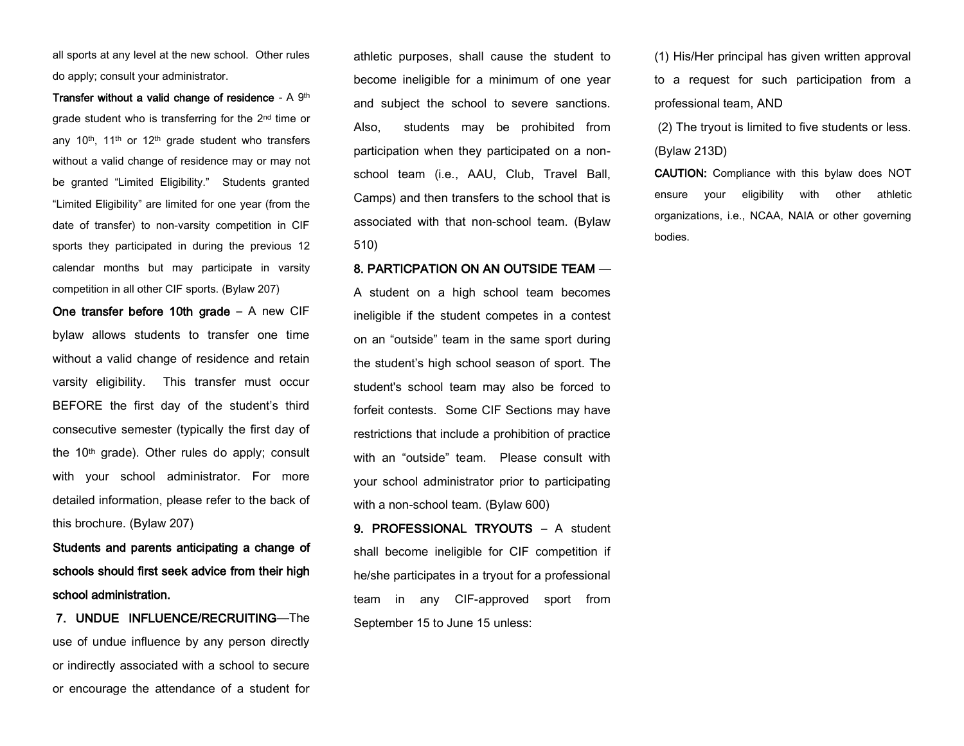all sports at any level at the new school. Other rules do apply; consult your administrator.

Transfer without a valid change of residence - A 9th grade student who is transferring for the 2nd time or any  $10<sup>th</sup>$ ,  $11<sup>th</sup>$  or  $12<sup>th</sup>$  grade student who transfers without a valid change of residence may or may not be granted "Limited Eligibility." Students granted "Limited Eligibility" are limited for one year (from the date of transfer) to non-varsity competition in CIF sports they participated in during the previous 12 calendar months but may participate in varsity competition in all other CIF sports. (Bylaw 207)

One transfer before 10th grade – A new CIF bylaw allows students to transfer one time without a valid change of residence and retain varsity eligibility. This transfer must occur BEFORE the first day of the student's third consecutive semester (typically the first day of the 10th grade). Other rules do apply; consult with your school administrator. For more detailed information, please refer to the back of this brochure. (Bylaw 207)

Students and parents anticipating a change of schools should first seek advice from their high school administration.

 7. UNDUE INFLUENCE/RECRUITING—The use of undue influence by any person directly or indirectly associated with a school to secure or encourage the attendance of a student for

athletic purposes, shall cause the student to become ineligible for a minimum of one year and subject the school to severe sanctions. Also, students may be prohibited from participation when they participated on a nonschool team (i.e., AAU, Club, Travel Ball, Camps) and then transfers to the school that is associated with that non-school team. (Bylaw 510)

#### 8. PARTICPATION ON AN OUTSIDE TEAM —

A student on a high school team becomes ineligible if the student competes in a contest on an "outside" team in the same sport during the student's high school season of sport. The student's school team may also be forced to forfeit contests. Some CIF Sections may have restrictions that include a prohibition of practice with an "outside" team. Please consult with your school administrator prior to participating with a non-school team. (Bylaw 600)

9. PROFESSIONAL TRYOUTS – A student shall become ineligible for CIF competition if he/she participates in a tryout for a professional team in any CIF-approved sport from September 15 to June 15 unless:

(1) His/Her principal has given written approval to a request for such participation from a professional team, AND

(2) The tryout is limited to five students or less. (Bylaw 213D)

CAUTION: Compliance with this bylaw does NOT ensure your eligibility with other athletic organizations, i.e., NCAA, NAIA or other governing bodies.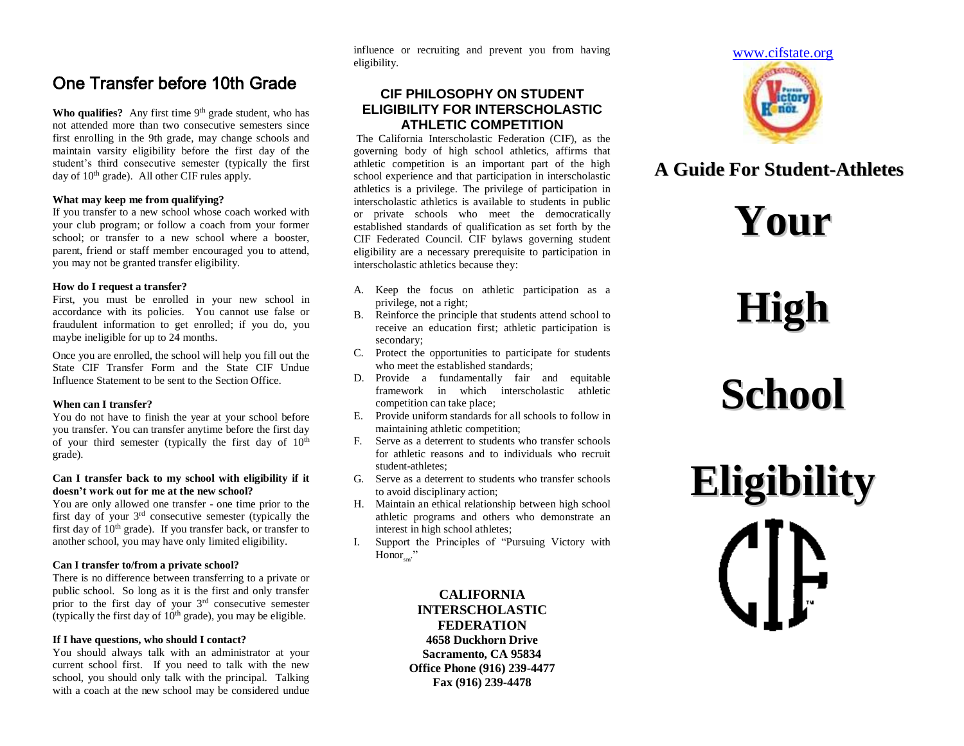### One Transfer before 10th Grade

**Who qualifies?** Any first time  $9<sup>th</sup>$  grade student, who has not attended more than two consecutive semesters since first enrolling in the 9th grade, may change schools and maintain varsity eligibility before the first day of the student's third consecutive semester (typically the first day of  $10<sup>th</sup>$  grade). All other CIF rules apply.

#### **What may keep me from qualifying?**

If you transfer to a new school whose coach worked with your club program; or follow a coach from your former school; or transfer to a new school where a booster, parent, friend or staff member encouraged you to attend, you may not be granted transfer eligibility.

#### **How do I request a transfer?**

First, you must be enrolled in your new school in accordance with its policies. You cannot use false or fraudulent information to get enrolled; if you do, you maybe ineligible for up to 24 months.

Once you are enrolled, the school will help you fill out the State CIF Transfer Form and the State CIF Undue Influence Statement to be sent to the Section Office.

#### **When can I transfer?**

You do not have to finish the year at your school before you transfer. You can transfer anytime before the first day of your third semester (typically the first day of  $10<sup>th</sup>$ grade).

#### **Can I transfer back to my school with eligibility if it doesn't work out for me at the new school?**

You are only allowed one transfer - one time prior to the first day of your 3rd consecutive semester (typically the first day of  $10<sup>th</sup>$  grade). If you transfer back, or transfer to another school, you may have only limited eligibility.

#### **Can I transfer to/from a private school?**

There is no difference between transferring to a private or public school. So long as it is the first and only transfer prior to the first day of your 3rd consecutive semester (typically the first day of  $10<sup>th</sup>$  grade), you may be eligible.

#### **If I have questions, who should I contact?**

You should always talk with an administrator at your current school first. If you need to talk with the new school, you should only talk with the principal. Talking with a coach at the new school may be considered undue influence or recruiting and prevent you from having eligibility.

#### **CIF PHILOSOPHY ON STUDENT ELIGIBILITY FOR INTERSCHOLASTIC ATHLETIC COMPETITION**

The California Interscholastic Federation (CIF), as the governing body of high school athletics, affirms that athletic competition is an important part of the high school experience and that participation in interscholastic athletics is a privilege. The privilege of participation in interscholastic athletics is available to students in public or private schools who meet the democratically established standards of qualification as set forth by the CIF Federated Council. CIF bylaws governing student eligibility are a necessary prerequisite to participation in interscholastic athletics because they:

- A. Keep the focus on athletic participation as a privilege, not a right;
- B. Reinforce the principle that students attend school to receive an education first; athletic participation is secondary;
- C. Protect the opportunities to participate for students who meet the established standards;
- D. Provide a fundamentally fair and equitable framework in which interscholastic athletic competition can take place;
- E. Provide uniform standards for all schools to follow in maintaining athletic competition;
- F. Serve as a deterrent to students who transfer schools for athletic reasons and to individuals who recruit student-athletes;
- G. Serve as a deterrent to students who transfer schools to avoid disciplinary action;
- H. Maintain an ethical relationship between high school athletic programs and others who demonstrate an interest in high school athletes;
- I. Support the Principles of "Pursuing Victory with  $\text{Honor}_{sm}$ "

**CALIFORNIA INTERSCHOLASTIC FEDERATION 4658 Duckhorn Drive Sacramento, CA 95834 Office Phone (916) 239-4477 Fax (916) 239-4478**



## **A Guide For Student-Athletes**

**Your**

## **High**

## **School**

**Eligibility**